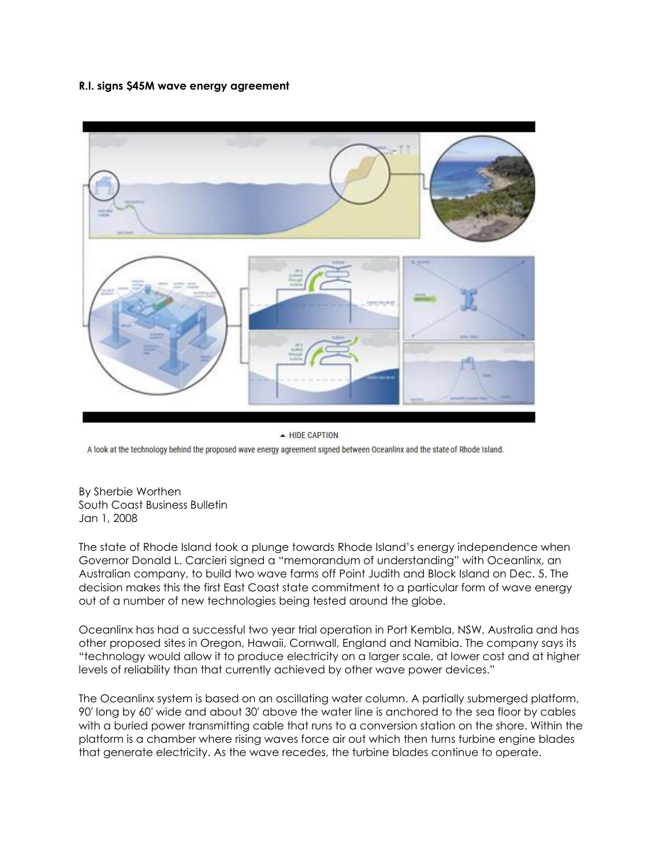## **R.I. signs \$45M wave energy agreement**



- HIDE CAPTION

A look at the technology behind the proposed wave energy agreement signed between Oceanlinx and the state of Rhode Island.

By Sherbie Worthen South Coast Business Bulletin Jan 1, 2008

The state of Rhode Island took a plunge towards Rhode Island's energy independence when Governor Donald L. Carcieri signed a "memorandum of understanding" with Oceanlinx, an Australian company, to build two wave farms off Point Judith and Block Island on Dec. 5. The decision makes this the first East Coast state commitment to a particular form of wave energy out of a number of new technologies being tested around the globe.

Oceanlinx has had a successful two year trial operation in Port Kembla, NSW, Australia and has other proposed sites in Oregon, Hawaii, Cornwall, England and Namibia. The company says its "technology would allow it to produce electricity on a larger scale, at lower cost and at higher levels of reliability than that currently achieved by other wave power devices."

The Oceanlinx system is based on an oscillating water column. A partially submerged platform, 90′ long by 60′ wide and about 30′ above the water line is anchored to the sea floor by cables with a buried power transmitting cable that runs to a conversion station on the shore. Within the platform is a chamber where rising waves force air out which then turns turbine engine blades that generate electricity. As the wave recedes, the turbine blades continue to operate.